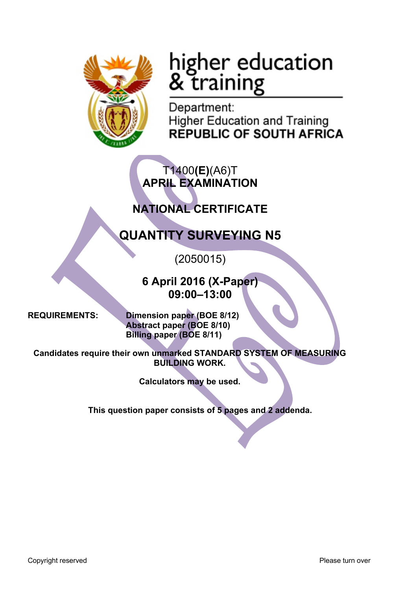

# higher education<br>& training

Department: **Higher Education and Training** REPUBLIC OF SOUTH AFRICA

T1400**(E)**(A6)T **APRIL EXAMINATION**

## **NATIONAL CERTIFICATE**

## **QUANTITY SURVEYING N5**

(2050015)

**6 April 2016 (X-Paper) 09:00–13:00**

**REQUIREMENTS: Dimension paper (BOE 8/12) Abstract paper (BOE 8/10) Billing paper (BOE 8/11)**

**Candidates require their own unmarked STANDARD SYSTEM OF MEASURING BUILDING WORK.**

**Calculators may be used.**

**This question paper consists of 5 pages and 2 addenda.**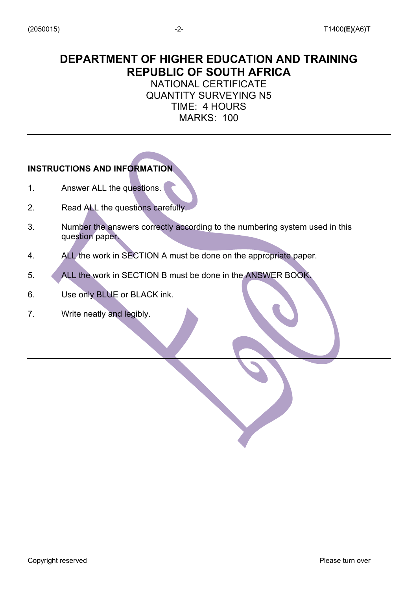### **DEPARTMENT OF HIGHER EDUCATION AND TRAINING REPUBLIC OF SOUTH AFRICA**

NATIONAL CERTIFICATE QUANTITY SURVEYING N5 TIME: 4 HOURS MARKS: 100

#### **INSTRUCTIONS AND INFORMATION**

- 1. Answer ALL the questions.
- 2. Read ALL the questions carefully.
- 3. Number the answers correctly according to the numbering system used in this question paper.
- 4. ALL the work in SECTION A must be done on the appropriate paper.
- 5. ALL the work in SECTION B must be done in the ANSWER BOOK.
- 6. Use only BLUE or BLACK ink.
- 7. Write neatly and legibly.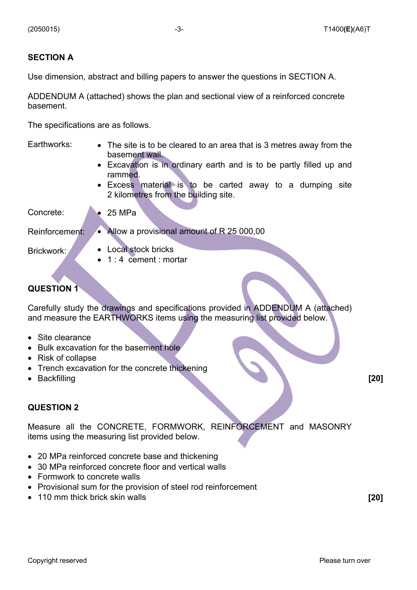#### **SECTION A**

Use dimension, abstract and billing papers to answer the questions in SECTION A.

ADDENDUM A (attached) shows the plan and sectional view of a reinforced concrete basement.

The specifications are as follows.

| Earthworks:    | • The site is to be cleared to an area that is 3 metres away from the<br>basement wall.<br>• Excavation is in ordinary earth and is to be partly filled up and<br>rammed.<br>• Excess material is to be carted away to a dumping<br>site |  |  |
|----------------|------------------------------------------------------------------------------------------------------------------------------------------------------------------------------------------------------------------------------------------|--|--|
|                | 2 kilometres from the building site.                                                                                                                                                                                                     |  |  |
| Concrete:      | 25 MPa                                                                                                                                                                                                                                   |  |  |
| Reinforcement: | • Allow a provisional amount of R 25 000,00                                                                                                                                                                                              |  |  |
| Brickwork:     | • Local stock bricks<br>$\bullet$ 1:4 cement: mortar                                                                                                                                                                                     |  |  |
|                |                                                                                                                                                                                                                                          |  |  |

#### **QUESTION 1**

Carefully study the drawings and specifications provided in ADDENDUM A (attached) and measure the EARTHWORKS items using the measuring list provided below.

- Site clearance
- Bulk excavation for the basement hole
- Risk of collapse
- Trench excavation for the concrete thickening
- Backfilling **[20]**

#### **QUESTION 2**

Measure all the CONCRETE, FORMWORK, REINFORCEMENT and MASONRY items using the measuring list provided below.

- 20 MPa reinforced concrete base and thickening
- 30 MPa reinforced concrete floor and vertical walls
- Formwork to concrete walls
- Provisional sum for the provision of steel rod reinforcement
- 110 mm thick brick skin walls **[20]**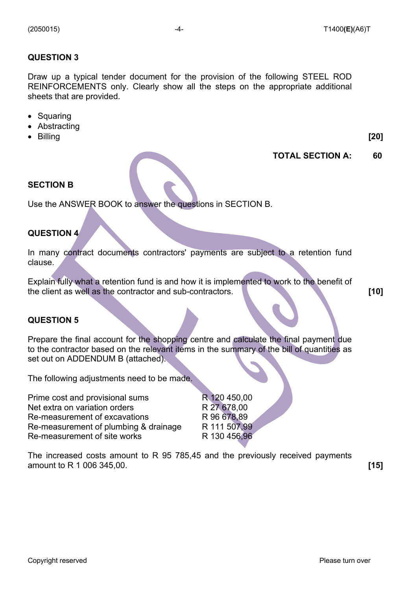#### **QUESTION 3**

Draw up a typical tender document for the provision of the following STEEL ROD REINFORCEMENTS only. Clearly show all the steps on the appropriate additional sheets that are provided.

- Squaring
- Abstracting
- Billing **[20]**

#### **TOTAL SECTION A: 60**

#### **SECTION B**

Use the ANSWER BOOK to answer the questions in SECTION B.

#### **QUESTION 4**

In many contract documents contractors' payments are subject to a retention fund clause.

Explain fully what a retention fund is and how it is implemented to work to the benefit of the client as well as the contractor and sub-contractors. **[10]**

#### **QUESTION 5**

Prepare the final account for the shopping centre and calculate the final payment due to the contractor based on the relevant items in the summary of the bill of quantities as set out on ADDENDUM B (attached).

The following adjustments need to be made.

Prime cost and provisional sums Net extra on variation orders Re-measurement of excavations Re-measurement of plumbing & drainage Re-measurement of site works

R 120 450,00 R 27 678,00 R 96 678,89 R 111 507,99 R 130 456,96

The increased costs amount to R 95 785,45 and the previously received payments amount to R 1 006 345,00. **[15]**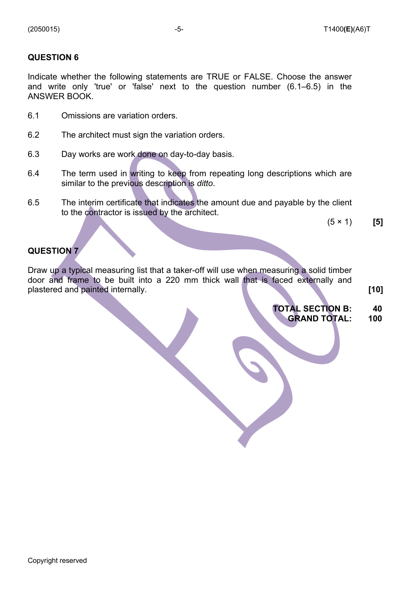#### **QUESTION 6**

Indicate whether the following statements are TRUE or FALSE. Choose the answer and write only 'true' or 'false' next to the question number (6.1–6.5) in the ANSWER BOOK.

- 6.1 Omissions are variation orders.
- 6.2 The architect must sign the variation orders.
- 6.3 Day works are work done on day-to-day basis.
- 6.4 The term used in writing to keep from repeating long descriptions which are similar to the previous description is *ditto*.
- 6.5 The interim certificate that indicates the amount due and payable by the client to the contractor is issued by the architect.

(5 × 1) **[5]**

#### **QUESTION 7**

Draw up a typical measuring list that a taker-off will use when measuring a solid timber door and frame to be built into a 220 mm thick wall that is faced externally and plastered and painted internally. **[10]**

#### **TOTAL SECTION B: GRAND TOTAL: 40 100**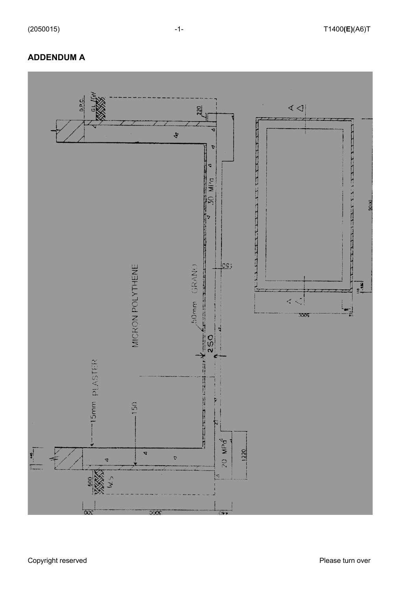#### **ADDENDUM A**